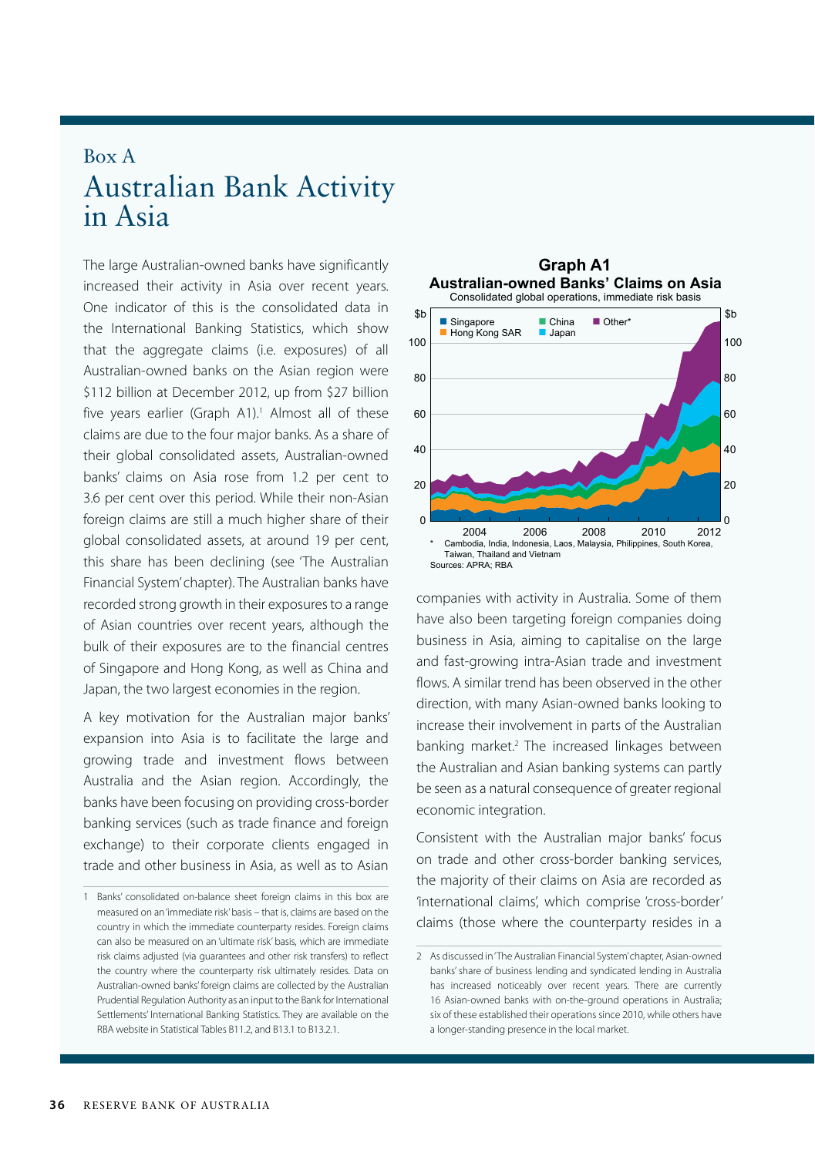## Box A Australian Bank Activity in Asia

The large Australian-owned banks have significantly increased their activity in Asia over recent years. One indicator of this is the consolidated data in the International Banking Statistics, which show that the aggregate claims (i.e. exposures) of all Australian-owned banks on the Asian region were \$112 billion at December 2012, up from \$27 billion five years earlier (Graph A1).<sup>1</sup> Almost all of these claims are due to the four major banks. As a share of their global consolidated assets, Australian-owned banks' claims on Asia rose from 1.2 per cent to 3.6 per cent over this period. While their non-Asian foreign claims are still a much higher share of their global consolidated assets, at around 19 per cent, this share has been declining (see 'The Australian Financial System' chapter). The Australian banks have recorded strong growth in their exposures to a range of Asian countries over recent years, although the bulk of their exposures are to the financial centres of Singapore and Hong Kong, as well as China and Japan, the two largest economies in the region.

A key motivation for the Australian major banks' expansion into Asia is to facilitate the large and growing trade and investment flows between Australia and the Asian region. Accordingly, the banks have been focusing on providing cross-border banking services (such as trade finance and foreign exchange) to their corporate clients engaged in trade and other business in Asia, as well as to Asian



companies with activity in Australia. Some of them have also been targeting foreign companies doing business in Asia, aiming to capitalise on the large and fast-growing intra-Asian trade and investment flows. A similar trend has been observed in the other direction, with many Asian-owned banks looking to increase their involvement in parts of the Australian banking market.<sup>2</sup> The increased linkages between the Australian and Asian banking systems can partly be seen as a natural consequence of greater regional economic integration.

Consistent with the Australian major banks' focus on trade and other cross-border banking services, the majority of their claims on Asia are recorded as 'international claims', which comprise 'cross-border' claims (those where the counterparty resides in a

<sup>1</sup> Banks' consolidated on-balance sheet foreign claims in this box are measured on an 'immediate risk' basis – that is, claims are based on the country in which the immediate counterparty resides. Foreign claims can also be measured on an 'ultimate risk' basis, which are immediate risk claims adjusted (via guarantees and other risk transfers) to reflect the country where the counterparty risk ultimately resides. Data on Australian-owned banks' foreign claims are collected by the Australian Prudential Regulation Authority as an input to the Bank for International Settlements' International Banking Statistics. They are available on the RBA website in Statistical Tables B11.2, and B13.1 to B13.2.1.

<sup>2</sup> As discussed in 'The Australian Financial System' chapter, Asian-owned banks' share of business lending and syndicated lending in Australia has increased noticeably over recent years. There are currently 16 Asian-owned banks with on-the-ground operations in Australia; six of these established their operations since 2010, while others have a longer-standing presence in the local market.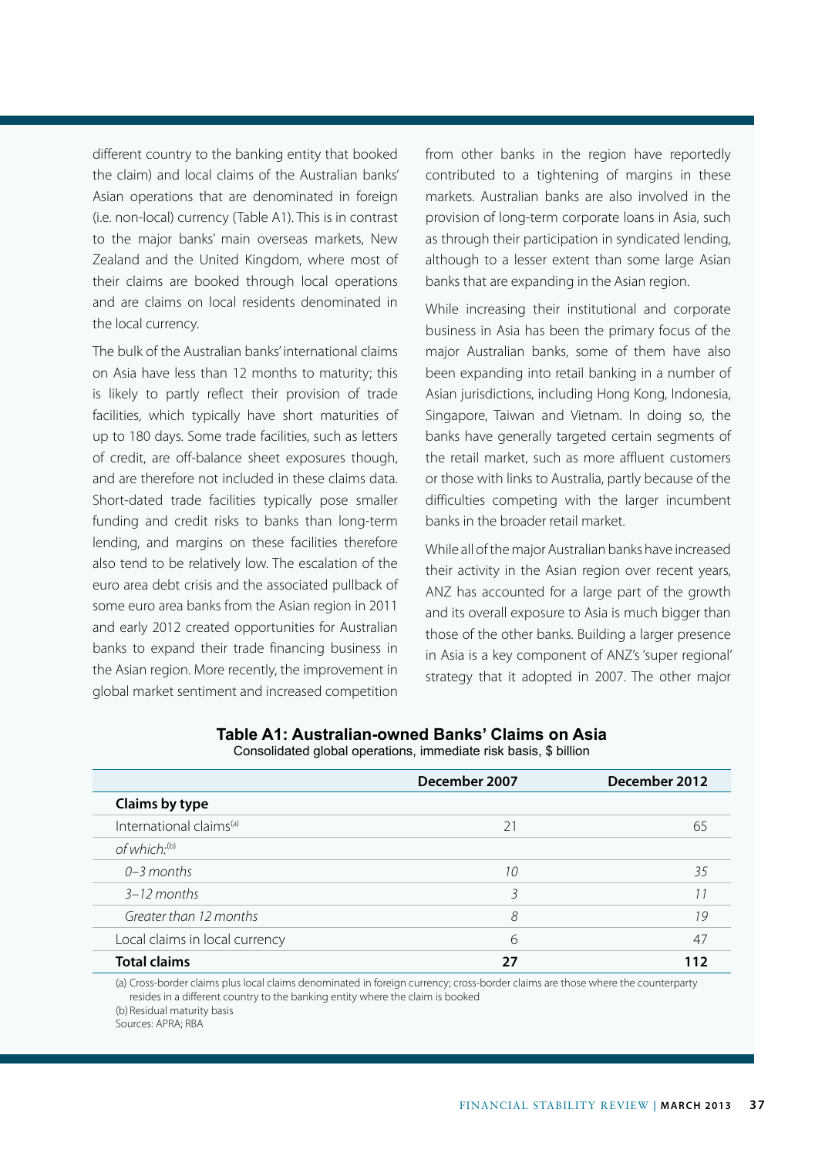different country to the banking entity that booked the claim) and local claims of the Australian banks' Asian operations that are denominated in foreign (i.e. non-local) currency (Table A1). This is in contrast to the major banks' main overseas markets, New Zealand and the United Kingdom, where most of their claims are booked through local operations and are claims on local residents denominated in the local currency.

The bulk of the Australian banks' international claims on Asia have less than 12 months to maturity; this is likely to partly reflect their provision of trade facilities, which typically have short maturities of up to 180 days. Some trade facilities, such as letters of credit, are off-balance sheet exposures though, and are therefore not included in these claims data. Short-dated trade facilities typically pose smaller funding and credit risks to banks than long-term lending, and margins on these facilities therefore also tend to be relatively low. The escalation of the euro area debt crisis and the associated pullback of some euro area banks from the Asian region in 2011 and early 2012 created opportunities for Australian banks to expand their trade financing business in the Asian region. More recently, the improvement in global market sentiment and increased competition from other banks in the region have reportedly contributed to a tightening of margins in these markets. Australian banks are also involved in the provision of long-term corporate loans in Asia, such as through their participation in syndicated lending, although to a lesser extent than some large Asian banks that are expanding in the Asian region.

While increasing their institutional and corporate business in Asia has been the primary focus of the major Australian banks, some of them have also been expanding into retail banking in a number of Asian jurisdictions, including Hong Kong, Indonesia, Singapore, Taiwan and Vietnam. In doing so, the banks have generally targeted certain segments of the retail market, such as more affluent customers or those with links to Australia, partly because of the difficulties competing with the larger incumbent banks in the broader retail market.

While all of the major Australian banks have increased their activity in the Asian region over recent years, ANZ has accounted for a large part of the growth and its overall exposure to Asia is much bigger than those of the other banks. Building a larger presence in Asia is a key component of ANZ's 'super regional' strategy that it adopted in 2007. The other major

|                                     | December 2007 | December 2012 |
|-------------------------------------|---------------|---------------|
| Claims by type                      |               |               |
| International claims <sup>(a)</sup> | 21            | 65            |
| of which. <sup>(b)</sup>            |               |               |
| $0-3$ months                        | 10            | 35            |
| $3-12$ months                       |               |               |
| Greater than 12 months              | 8             | 19            |
| Local claims in local currency      | 6             | 47            |
| <b>Total claims</b>                 | 27            | 112           |

## **Table A1: Australian-owned Banks' Claims on Asia** Consolidated global operations, immediate risk basis, \$ billion

(a) Cross-border claims plus local claims denominated in foreign currency; cross-border claims are those where the counterparty resides in a different country to the banking entity where the claim is booked (b) Residual maturity basis

Sources: APRA; RBA